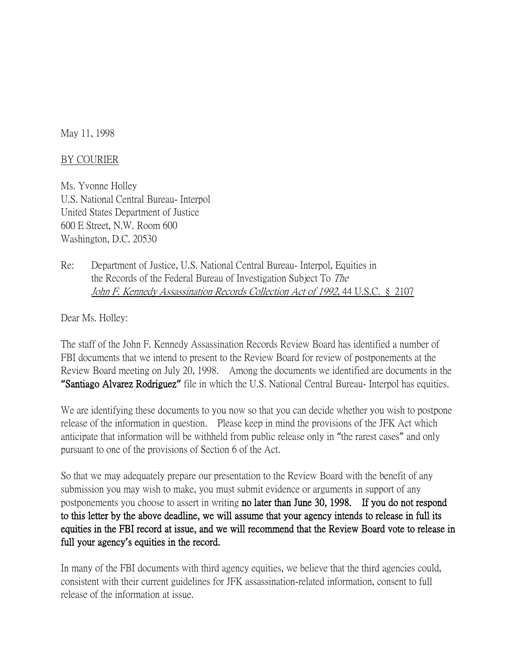May 11, 1998

## BY COURIER

Ms. Yvonne Holley U.S. National Central Bureau- Interpol United States Department of Justice 600 E Street, N.W. Room 600 Washington, D.C. 20530

Re: Department of Justice, U.S. National Central Bureau- Interpol, Equities in the Records of the Federal Bureau of Investigation Subject To The John F. Kennedy Assassination Records Collection Act of 1992, 44 U.S.C. § 2107

Dear Ms. Holley:

The staff of the John F. Kennedy Assassination Records Review Board has identified a number of FBI documents that we intend to present to the Review Board for review of postponements at the Review Board meeting on July 20, 1998. Among the documents we identified are documents in the **"**Santiago Alvarez Rodriguez**"** file in which the U.S. National Central Bureau- Interpol has equities.

We are identifying these documents to you now so that you can decide whether you wish to postpone release of the information in question. Please keep in mind the provisions of the JFK Act which anticipate that information will be withheld from public release only in "the rarest cases" and only pursuant to one of the provisions of Section 6 of the Act.

So that we may adequately prepare our presentation to the Review Board with the benefit of any submission you may wish to make, you must submit evidence or arguments in support of any postponements you choose to assert in writing no later than June 30, 1998. If you do not respond to this letter by the above deadline, we will assume that your agency intends to release in full its equities in the FBI record at issue, and we will recommend that the Review Board vote to release in full your agency**'**s equities in the record.

In many of the FBI documents with third agency equities, we believe that the third agencies could, consistent with their current guidelines for JFK assassination-related information, consent to full release of the information at issue.